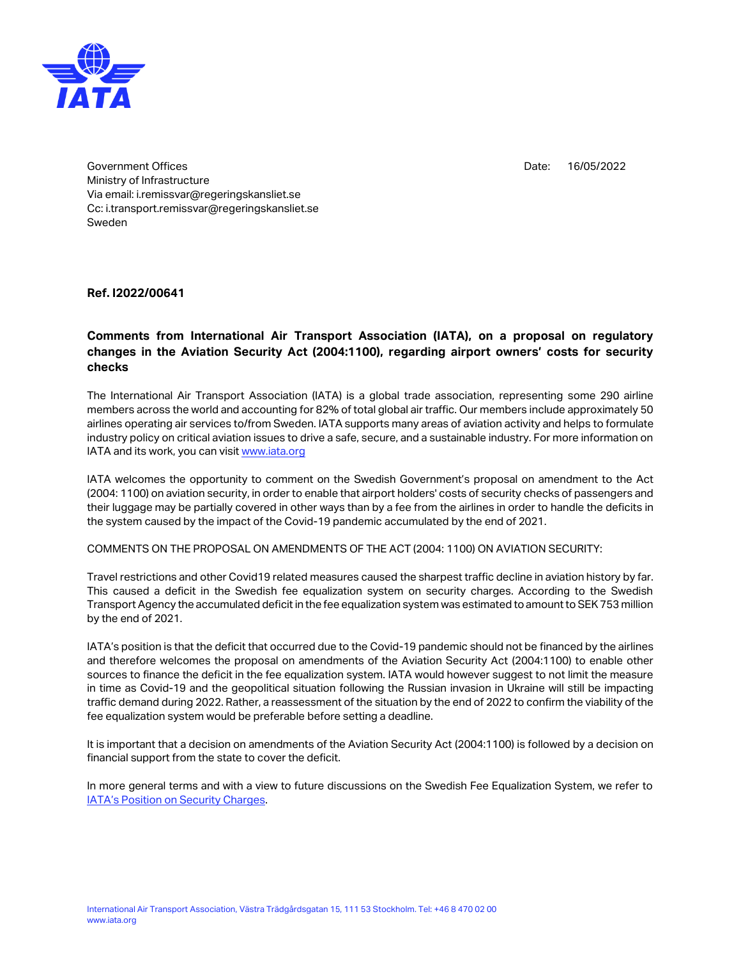

Date: 16/05/2022

Government Offices Ministry of Infrastructure Via email: i.remissvar@regeringskansliet.se Cc: i.transport.remissvar@regeringskansliet.se Sweden

**Ref. I2022/00641**

## **Comments from International Air Transport Association (IATA), on a proposal on regulatory changes in the Aviation Security Act (2004:1100), regarding airport owners' costs for security checks**

The International Air Transport Association (IATA) is a global trade association, representing some 290 airline members across the world and accounting for 82% of total global air traffic. Our members include approximately 50 airlines operating air services to/from Sweden. IATA supports many areas of aviation activity and helps to formulate industry policy on critical aviation issues to drive a safe, secure, and a sustainable industry. For more information on IATA and its work, you can visit [www.iata.org](file:///C:/Users/mattssonc/OneDrive%20-%20International%20Air%20Transport%20Association/Documents/Klimatdeklaration/www.iata.org)

IATA welcomes the opportunity to comment on the Swedish Government's proposal on amendment to the Act (2004: 1100) on aviation security, in order to enable that airport holders' costs of security checks of passengers and their luggage may be partially covered in other ways than by a fee from the airlines in order to handle the deficits in the system caused by the impact of the Covid-19 pandemic accumulated by the end of 2021.

COMMENTS ON THE PROPOSAL ON AMENDMENTS OF THE ACT (2004: 1100) ON AVIATION SECURITY:

Travel restrictions and other Covid19 related measures caused the sharpest traffic decline in aviation history by far. This caused a deficit in the Swedish fee equalization system on security charges. According to the Swedish Transport Agency the accumulated deficit in the fee equalization system was estimated to amount to SEK 753 million by the end of 2021.

IATA's position is that the deficit that occurred due to the Covid-19 pandemic should not be financed by the airlines and therefore welcomes the proposal on amendments of the Aviation Security Act (2004:1100) to enable other sources to finance the deficit in the fee equalization system. IATA would however suggest to not limit the measure in time as Covid-19 and the geopolitical situation following the Russian invasion in Ukraine will still be impacting traffic demand during 2022. Rather, a reassessment of the situation by the end of 2022 to confirm the viability of the fee equalization system would be preferable before setting a deadline.

It is important that a decision on amendments of the Aviation Security Act (2004:1100) is followed by a decision on financial support from the state to cover the deficit.

In more general terms and with a view to future discussions on the Swedish Fee Equalization System, we refer to [IATA's Position on Security Charges](https://www.iata.org/contentassets/e55ae27b2fc34343a1143fca5129c8dd/security-charges.pdf).